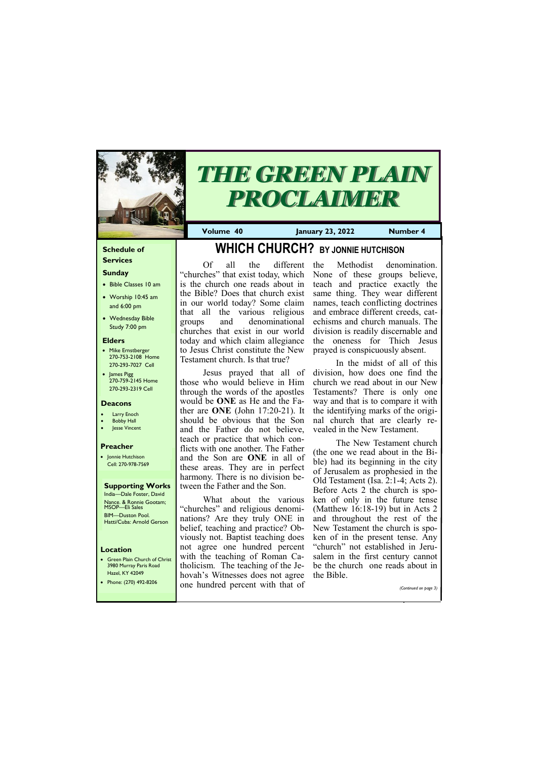#### **Schedule of Services**

### **Sunday**

- Bible Classes 10 am
- Worship 10:45 am and 6:00 pm
- Wednesday Bible Study 7:00 pm

• Green Plain Church of Christ 3980 Murray Paris Road  $\sim$ H  $\mu$   $\vee$   $\mu$ 

#### **Elders**

- Mike Ernstberger 270-753-2108 Home 270-293-7027 Cell
- James Pigg 270-759-2145 Home 270-293-2319 Cell

#### **Location**



# *THE GREEN PLAIN PROCLAIMER*

**Volume 40 January 23, 2022 Number 4**

#### **Deacons**

- **Larry Enoch**
- **Bobby Hall**
- Jesse Vincent

#### **Preacher**

• Jonnie Hutchison Cell: 270-978-7569

**Supporting Works** India—Dale Foster, David Nance. & Ronnie Gootam; MSOP—Eli Sales BIM—Duston Pool. Hatti/Cuba: Arnold Gerson

# **WHICH CHURCH? BY JONNIE HUTCHISON**

Of all the different "churches" that exist today, which is the church one reads about in the Bible? Does that church exist in our world today? Some claim that all the various religious groups and denominational churches that exist in our world today and which claim allegiance to Jesus Christ constitute the New Testament church. Is that true?

Jesus prayed that all of those who would believe in Him through the words of the apostles would be **ONE** as He and the Father are **ONE** (John 17:20-21). It should be obvious that the Son and the Father do not believe, teach or practice that which conflicts with one another. The Father and the Son are **ONE** in all of these areas. They are in perfect harmony. There is no division between the Father and the Son.

What about the various "churches" and religious denominations? Are they truly ONE in belief, teaching and practice? Obviously not. Baptist teaching does not agree one hundred percent with the teaching of Roman Catholicism. The teaching of the Je-

|  | Hazel, KY 42049<br>Phone: (270) 492-8206 | hovah's Witnesses does not agree the Bible.<br>one hundred percent with that of |  | (Continued on page 3) |
|--|------------------------------------------|---------------------------------------------------------------------------------|--|-----------------------|
|--|------------------------------------------|---------------------------------------------------------------------------------|--|-----------------------|

the Methodist denomination. None of these groups believe, teach and practice exactly the same thing. They wear different names, teach conflicting doctrines and embrace different creeds, catechisms and church manuals. The division is readily discernable and the oneness for Thich Jesus prayed is conspicuously absent.

In the midst of all of this division, how does one find the church we read about in our New Testaments? There is only one way and that is to compare it with the identifying marks of the original church that are clearly revealed in the New Testament.

The New Testament church (the one we read about in the Bible) had its beginning in the city of Jerusalem as prophesied in the Old Testament (Isa. 2:1-4; Acts 2). Before Acts 2 the church is spoken of only in the future tense (Matthew 16:18-19) but in Acts 2 and throughout the rest of the New Testament the church is spoken of in the present tense. Any "church" not established in Jerusalem in the first century cannot be the church one reads about in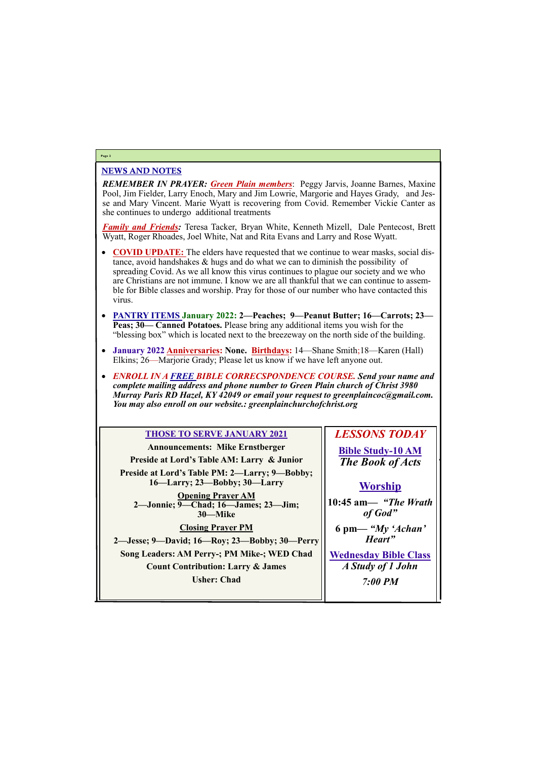#### NEWS AND NOTES

*REMEMBER IN PRAYER: Green Plain members*: Peggy Jarvis, Joanne Barnes, Maxine Pool, Jim Fielder, Larry Enoch, Mary and Jim Lowrie, Margorie and Hayes Grady, and Jesse and Mary Vincent. Marie Wyatt is recovering from Covid. Remember Vickie Canter as she continues to undergo additional treatments

*Family and Friends:* Teresa Tacker, Bryan White, Kenneth Mizell, Dale Pentecost, Brett Wyatt, Roger Rhoades, Joel White, Nat and Rita Evans and Larry and Rose Wyatt.

- **COVID UPDATE:** The elders have requested that we continue to wear masks, social distance, avoid handshakes & hugs and do what we can to diminish the possibility of spreading Covid. As we all know this virus continues to plague our society and we who are Christians are not immune. I know we are all thankful that we can continue to assemble for Bible classes and worship. Pray for those of our number who have contacted this virus.
- **PANTRY ITEMS January 2022: 2—Peaches; 9—Peanut Butter; 16—Carrots; 23— Peas; 30— Canned Potatoes.** Please bring any additional items you wish for the "blessing box" which is located next to the breezeway on the north side of the building.
- **January 2022 Anniversaries: None. Birthdays:** 14—Shane Smith;18—Karen (Hall) Elkins; 26—Marjorie Grady; Please let us know if we have left anyone out.
- *ENROLL IN A FREE BIBLE CORRECSPONDENCE COURSE. Send your name and complete mailing address and phone number to Green Plain church of Christ 3980 Murray Paris RD Hazel, KY 42049 or email your request to greenplaincoc@gmail.com. You may also enroll on our website.: greenplainchurchofchrist.org*

**Inesday Bible Class** *A Study of 1 John*

#### **Page 2**

#### **THOSE TO SERVE JANUARY 2021**

| <b>Announcements: Mike Ernstberger</b>                                        | Bil   |
|-------------------------------------------------------------------------------|-------|
| Preside at Lord's Table AM: Larry & Junior                                    | T l   |
| Preside at Lord's Table PM: 2-Larry; 9-Bobby;<br>16—Larry; 23—Bobby; 30—Larry |       |
| <b>Opening Prayer AM</b><br>2—Jonnie; 9—Chad; 16—James; 23—Jim;<br>30-Mike    | 10:45 |
| <b>Closing Prayer PM</b>                                                      | 6 p   |
| 2—Jesse; 9—David; 16—Roy; 23—Bobby; 30—Perry                                  |       |
| Song Leaders: AM Perry-; PM Mike-; WED Chad                                   |       |
|                                                                               |       |

**Count Contribution: Larry & James**

### *LESSONS TODAY* **Bible Study-10 AM** *The Book of Acts*



## **Worship 10:45 am***— "The Wrath of God"* **6 pm—** *"My 'Achan'*

*Heart"*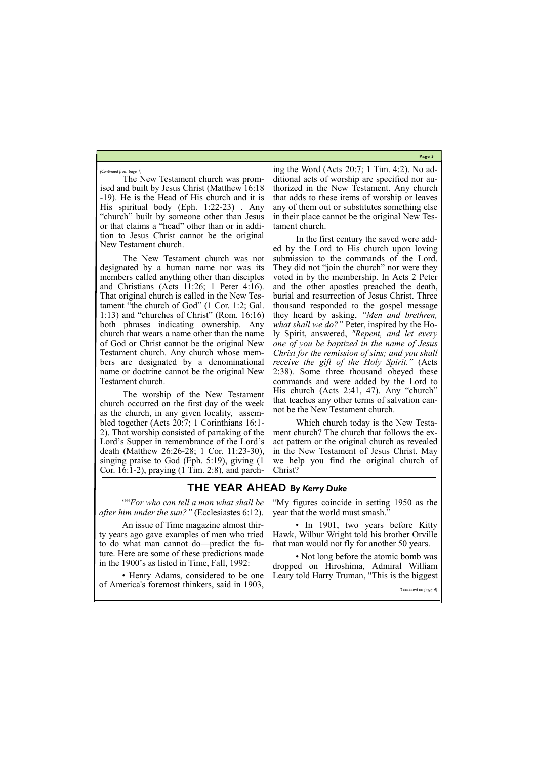**Page 3**

The New Testament church was promised and built by Jesus Christ (Matthew 16:18 -19). He is the Head of His church and it is His spiritual body (Eph. 1:22-23) . Any "church" built by someone other than Jesus or that claims a "head" other than or in addition to Jesus Christ cannot be the original New Testament church.

The New Testament church was not designated by a human name nor was its members called anything other than disciples and Christians (Acts 11:26; 1 Peter 4:16). That original church is called in the New Testament "the church of God" (1 Cor. 1:2; Gal. 1:13) and "churches of Christ" (Rom. 16:16) both phrases indicating ownership. Any church that wears a name other than the name of God or Christ cannot be the original New Testament church. Any church whose members are designated by a denominational name or doctrine cannot be the original New Testament church.

The worship of the New Testament church occurred on the first day of the week as the church, in any given locality, assembled together (Acts 20:7; 1 Corinthians 16:1- 2). That worship consisted of partaking of the Lord's Supper in remembrance of the Lord's death (Matthew 26:26-28; 1 Cor. 11:23-30), singing praise to God (Eph. 5:19), giving (1 Cor. 16:1-2), praying (1 Tim. 2:8), and parching the Word (Acts 20:7; 1 Tim. 4:2). No additional acts of worship are specified nor authorized in the New Testament. Any church that adds to these items of worship or leaves any of them out or substitutes something else in their place cannot be the original New Testament church.

• In 1901, two years before Kitty Hawk, Wilbur Wright told his brother Orville that man would not fly for another 50 years.

• Not long before the atomic bomb was dropped on Hiroshima, Admiral William

In the first century the saved were added by the Lord to His church upon loving submission to the commands of the Lord. They did not "join the church" nor were they voted in by the membership. In Acts 2 Peter and the other apostles preached the death, burial and resurrection of Jesus Christ. Three thousand responded to the gospel message they heard by asking, *"Men and brethren, what shall we do?"* Peter, inspired by the Holy Spirit, answered, *"Repent, and let every one of you be baptized in the name of Jesus Christ for the remission of sins; and you shall receive the gift of the Holy Spirit."* (Acts 2:38). Some three thousand obeyed these commands and were added by the Lord to His church (Acts 2:41, 47). Any "church" that teaches any other terms of salvation cannot be the New Testament church.

Which church today is the New Testament church? The church that follows the exact pattern or the original church as revealed in the New Testament of Jesus Christ. May we help you find the original church of Christ?

*(Continued from page 1)*

### **THE YEAR AHEAD** *By Kerry Duke*

""*For who can tell a man what shall be after him under the sun?"* (Ecclesiastes 6:12).

An issue of Time magazine almost thirty years ago gave examples of men who tried to do what man cannot do—predict the future. Here are some of these predictions made in the 1900's as listed in Time, Fall, 1992:

"My figures coincide in setting 1950 as the year that the world must smash."

• Henry Adams, considered to be one Leary told Harry Truman, "This is the biggest of America's foremost thinkers, said in 1903, *(Continued on page 4)*